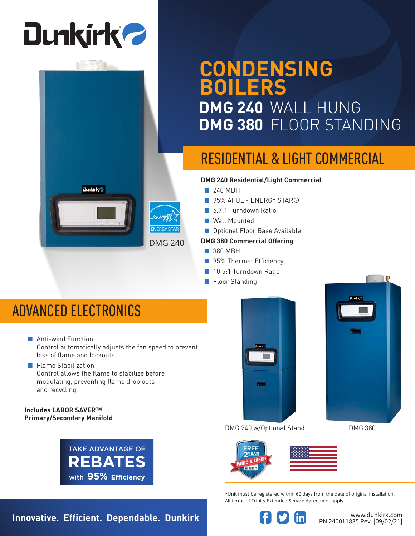# **Dunkirk 2**



### **CONDENSING BOILERS DMG 240** WALL HUNG **DMG 380** FLOOR STANDING

### RESIDENTIAL & LIGHT COMMERCIAL

#### **DMG 240 Residential/Light Commercial**

- 240 MBH
- 95% AFUE ENERGY STAR®
- 6.7:1 Turndown Ratio
- Wall Mounted
- Optional Floor Base Available

#### **DMG 380 Commercial Offering**

- 380 MBH
- 95% Thermal Efficiency
- 10.5:1 Turndown Ratio
- Floor Standing

### ADVANCED ELECTRONICS

- Anti-wind Function Control automatically adjusts the fan speed to prevent loss of flame and lockouts
- Flame Stabilization Control allows the flame to stabilize before modulating, preventing flame drop outs and recycling

#### **Includes LABOR SAVER™ Primary/Secondary Manifold**





DMG 240 w/Optional Stand DMG 380





\*Unit must be registered within 60 days from the date of original installation. All terms of Trinity Extended Service Agreement apply.



PN 240011835 Rev. [09/02/21]

**Innovative. Efficient. Dependable. Dunkirk Western Strategy of the Wave dunkirk.com**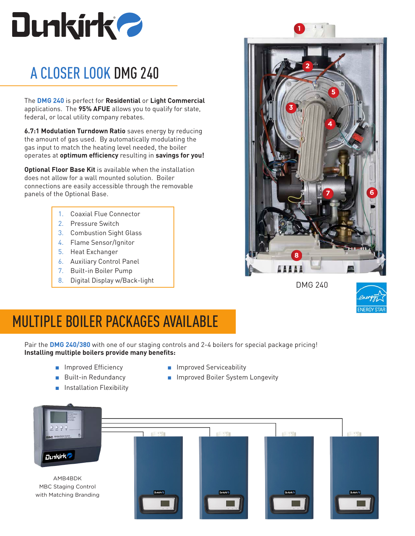

### A CLOSER LOOK DMG 240

The **DMG 240** is perfect for **Residential** or **Light Commercial**  applications. The **95% AFUE** allows you to qualify for state, federal, or local utility company rebates.

**6.7:1 Modulation Turndown Ratio** saves energy by reducing the amount of gas used. By automatically modulating the gas input to match the heating level needed, the boiler operates at **optimum efficiency** resulting in **savings for you!**

**Optional Floor Base Kit** is available when the installation does not allow for a wall mounted solution. Boiler connections are easily accessible through the removable panels of the Optional Base.

- 1. Coaxial Flue Connector
- 2. Pressure Switch
- 3. Combustion Sight Glass
- 4. Flame Sensor/Ignitor
- 5. Heat Exchanger
- 6. Auxiliary Control Panel
- 7. Built-in Boiler Pump
- 8. Digital Display w/Back-light



**1**

DMG 240



### MULTIPLE BOILER PACKAGES AVAILABLE

Pair the **DMG 240/380** with one of our staging controls and 2-4 boilers for special package pricing! **Installing multiple boilers provide many benefits:**

> ■ Improved Efficiency ■ Built-in Redundancy

■ Installation Flexibility

- Improved Serviceability
- Improved Boiler System Longevity

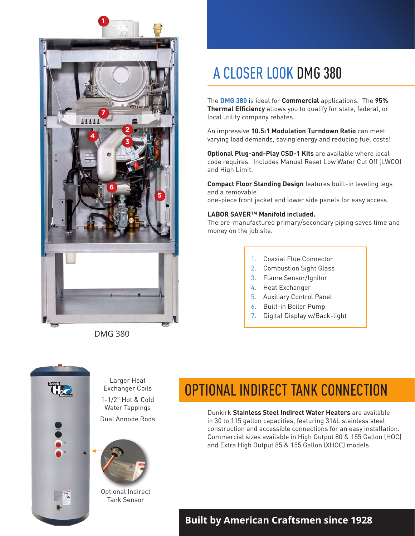

DMG 380

### A CLOSER LOOK DMG 380

The **DMG 380** is ideal for **Commercial** applications. The **95% Thermal Efficiency** allows you to qualify for state, federal, or local utility company rebates.

An impressive **10.5:1 Modulation Turndown Ratio** can meet varying load demands, saving energy and reducing fuel costs!

**Optional Plug-and-Play CSD-1 Kits** are available where local code requires. Includes Manual Reset Low Water Cut Off (LWCO) and High Limit.

**Compact Floor Standing Design** features built-in leveling legs and a removable one-piece front jacket and lower side panels for easy access.

#### **LABOR SAVER™ Manifold included.**

The pre-manufactured primary/secondary piping saves time and money on the job site.

- 1. Coaxial Flue Connector
- 2. Combustion Sight Glass
- 3. Flame Sensor/Ignitor
- 4. Heat Exchanger
- 5. Auxiliary Control Panel
- 6. Built-in Boiler Pump
- 7. Digital Display w/Back-light



Larger Heat Exchanger Coils 1-1/2" Hot & Cold Water Tappings Dual Annode Rods



Optional Indirect Tank Sensor

### OPTIONAL INDIRECT TANK CONNECTION

Dunkirk **Stainless Steel Indirect Water Heaters** are available in 30 to 115 gallon capacities, featuring 316L stainless steel construction and accessible connections for an easy installation. Commercial sizes available in High Output 80 & 155 Gallon (HOC) and Extra High Output 85 & 155 Gallon (XHOC) models.

#### **Built by American Craftsmen since 1928**